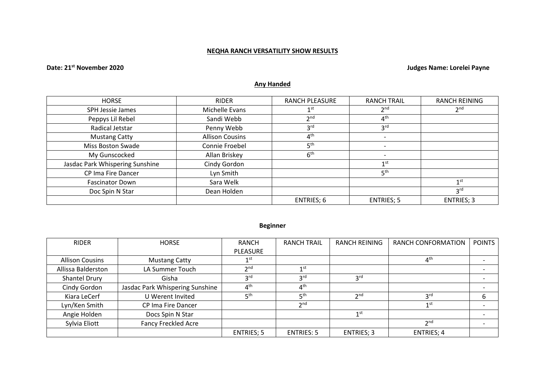# **NEQHA RANCH VERSATILITY SHOW RESULTS**

# **Date: 21st November 2020 Judges Name: Lorelei Payne**

# **Any Handed**

| <b>HORSE</b>                    | <b>RIDER</b>           | <b>RANCH PLEASURE</b> | <b>RANCH TRAIL</b> | <b>RANCH REINING</b> |
|---------------------------------|------------------------|-----------------------|--------------------|----------------------|
| SPH Jessie James                | Michelle Evans         | 1 <sup>st</sup>       | 2 <sup>nd</sup>    | 2 <sup>nd</sup>      |
| Peppys Lil Rebel                | Sandi Webb             | 2 <sub>nd</sub>       | 4 <sup>th</sup>    |                      |
| Radical Jetstar                 | Penny Webb             | 3 <sup>rd</sup>       | 3 <sup>rd</sup>    |                      |
| <b>Mustang Catty</b>            | <b>Allison Cousins</b> | 4 <sup>th</sup>       |                    |                      |
| Miss Boston Swade               | Connie Froebel         | 5 <sup>th</sup>       |                    |                      |
| My Gunscocked                   | Allan Briskey          | 6 <sup>th</sup>       |                    |                      |
| Jasdac Park Whispering Sunshine | Cindy Gordon           |                       | 1 <sup>st</sup>    |                      |
| CP Ima Fire Dancer              | Lyn Smith              |                       | 5 <sup>th</sup>    |                      |
| <b>Fascinator Down</b>          | Sara Welk              |                       |                    | 1 <sup>st</sup>      |
| Doc Spin N Star                 | Dean Holden            |                       |                    | 3 <sup>rd</sup>      |
|                                 |                        | ENTRIES; 6            | <b>ENTRIES; 5</b>  | <b>ENTRIES; 3</b>    |

# **Beginner**

| <b>RIDER</b>           | <b>HORSE</b>                    | <b>RANCH</b>      | <b>RANCH TRAIL</b> | <b>RANCH REINING</b> | RANCH CONFORMATION | <b>POINTS</b> |
|------------------------|---------------------------------|-------------------|--------------------|----------------------|--------------------|---------------|
|                        |                                 | <b>PLEASURE</b>   |                    |                      |                    |               |
| <b>Allison Cousins</b> | <b>Mustang Catty</b>            | 1st               |                    |                      | 4 <sup>th</sup>    |               |
| Allissa Balderston     | LA Summer Touch                 | 2 <sub>nd</sub>   | 1 <sub>st</sub>    |                      |                    |               |
| Shantel Drury          | Gisha                           | <b>3rd</b>        | 3 <sup>rd</sup>    | 3 <sup>rd</sup>      |                    |               |
| Cindy Gordon           | Jasdac Park Whispering Sunshine | 4 <sup>th</sup>   | 4 <sup>th</sup>    |                      |                    |               |
| Kiara LeCerf           | U Werent Invited                | 5 <sup>th</sup>   | 5 <sup>th</sup>    | 2 <sub>nd</sub>      | 3 <sup>rd</sup>    |               |
| Lyn/Ken Smith          | CP Ima Fire Dancer              |                   | 2 <sub>nd</sub>    |                      | 1 <sub>st</sub>    |               |
| Angie Holden           | Docs Spin N Star                |                   |                    | 1 <sup>st</sup>      |                    |               |
| Sylvia Eliott          | <b>Fancy Freckled Acre</b>      |                   |                    |                      | 2 <sub>nd</sub>    |               |
|                        |                                 | <b>ENTRIES; 5</b> | <b>ENTRIES: 5</b>  | <b>ENTRIES; 3</b>    | <b>ENTRIES; 4</b>  |               |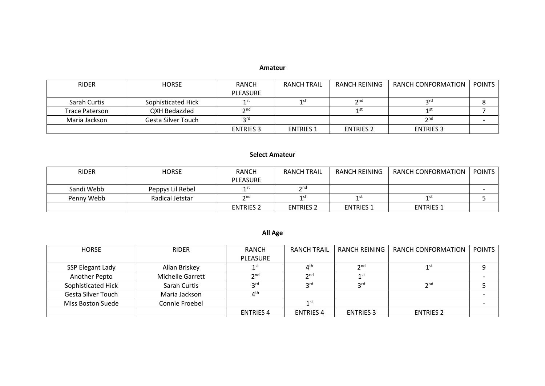#### **Amateur**

| <b>RIDER</b>          | <b>HORSE</b>       | <b>RANCH</b>     | <b>RANCH TRAIL</b> | RANCH REINING    | RANCH CONFORMATION | <b>POINTS</b> |
|-----------------------|--------------------|------------------|--------------------|------------------|--------------------|---------------|
|                       |                    | <b>PLEASURE</b>  |                    |                  |                    |               |
| Sarah Curtis          | Sophisticated Hick |                  | 1 st               | $\mathcal{D}$ nd | ord                |               |
| <b>Trace Paterson</b> | QXH Bedazzled      | $\gamma$ nd      |                    | 1st              | 1st                |               |
| Maria Jackson         | Gesta Silver Touch | ord              |                    |                  | 2nq                |               |
|                       |                    | <b>ENTRIES 3</b> | <b>ENTRIES 1</b>   | <b>ENTRIES 2</b> | <b>ENTRIES 3</b>   |               |

# **Select Amateur**

| <b>RIDER</b> | <b>HORSE</b>     | <b>RANCH</b>       | <b>RANCH TRAIL</b> | RANCH REINING    | RANCH CONFORMATION | <b>POINTS</b> |
|--------------|------------------|--------------------|--------------------|------------------|--------------------|---------------|
|              |                  | <b>PLEASURE</b>    |                    |                  |                    |               |
| Sandi Webb   | Peppys Lil Rebel | 1 St               | $\mathbf{\Omega}$  |                  |                    |               |
| Penny Webb   | Radical Jetstar  | $\mathsf{\sim}$ nd | 1st                | 1 st             | 1 st               |               |
|              |                  | <b>ENTRIES 2</b>   | <b>ENTRIES 2</b>   | <b>ENTRIES 1</b> | <b>ENTRIES 1</b>   |               |

# **All Age**

| <b>HORSE</b>       | <b>RIDER</b>            | RANCH            | <b>RANCH TRAIL</b>    | <b>RANCH REINING</b> | RANCH CONFORMATION | <b>POINTS</b> |
|--------------------|-------------------------|------------------|-----------------------|----------------------|--------------------|---------------|
|                    |                         | <b>PLEASURE</b>  |                       |                      |                    |               |
| SSP Elegant Lady   | Allan Briskey           | 1 <sup>st</sup>  | $\Lambda^{\text{th}}$ | 2 <sub>nd</sub>      | 1st                |               |
| Another Pepto      | <b>Michelle Garrett</b> | 2 <sub>nd</sub>  | 2 <sub>nd</sub>       | 1 <sup>st</sup>      |                    |               |
| Sophisticated Hick | Sarah Curtis            | <b>2rd</b>       | <b>2</b> rd           | <b>2rd</b>           | 2 <sub>nd</sub>    |               |
| Gesta Silver Touch | Maria Jackson           | $4^{\text{th}}$  |                       |                      |                    |               |
| Miss Boston Suede  | Connie Froebel          |                  | 1 st                  |                      |                    |               |
|                    |                         | <b>ENTRIES 4</b> | <b>ENTRIES 4</b>      | <b>ENTRIES 3</b>     | <b>ENTRIES 2</b>   |               |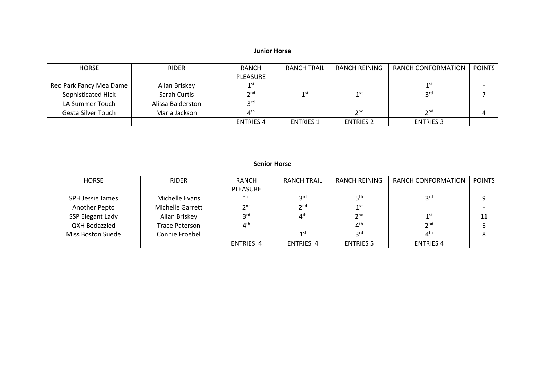# **Junior Horse**

| HORSE                   | <b>RIDER</b>      | <b>RANCH</b>          | RANCH TRAIL      | RANCH REINING    | RANCH CONFORMATION | <b>POINTS</b> |
|-------------------------|-------------------|-----------------------|------------------|------------------|--------------------|---------------|
|                         |                   | PLEASURE              |                  |                  |                    |               |
| Reo Park Fancy Mea Dame | Allan Briskey     | 1st                   |                  |                  | 1 st               |               |
| Sophisticated Hick      | Sarah Curtis      | 2 <sub>nd</sub>       | 1 st             | 1st              | <b>2rd</b>         |               |
| LA Summer Touch         | Alissa Balderston | <b>2rd</b>            |                  |                  |                    |               |
| Gesta Silver Touch      | Maria Jackson     | $\Lambda^{\text{th}}$ |                  | 2 <sub>nd</sub>  | 2 <sub>nd</sub>    |               |
|                         |                   | <b>ENTRIES 4</b>      | <b>ENTRIES 1</b> | <b>ENTRIES 2</b> | <b>ENTRIES 3</b>   |               |

# **Senior Horse**

| <b>HORSE</b>      | <b>RIDER</b>     | <b>RANCH</b>                   | <b>RANCH TRAIL</b>             | RANCH REINING    | RANCH CONFORMATION | <b>POINTS</b> |
|-------------------|------------------|--------------------------------|--------------------------------|------------------|--------------------|---------------|
|                   |                  | <b>PLEASURE</b>                |                                |                  |                    |               |
| SPH Jessie James  | Michelle Evans   | 1 St                           | <b>o</b> rd                    | ⊏th              | ord                |               |
| Another Pepto     | Michelle Garrett | $\mathsf{\gamma}$ nd           | 2 <sub>nd</sub>                | 1 ST             |                    |               |
| SSP Elegant Lady  | Allan Briskey    | ord                            | $\mathbf{\Lambda}^{\text{th}}$ | $2^{\text{nd}}$  |                    |               |
| QXH Bedazzled     | Trace Paterson   | $\mathbf{\Lambda}^{\text{th}}$ |                                | 4 <sup>th</sup>  | 2 <sub>nd</sub>    |               |
| Miss Boston Suede | Connie Froebel   |                                | 1st                            | <b>2rd</b>       | ⊿th                |               |
|                   |                  | <b>ENTRIES 4</b>               | <b>ENTRIES 4</b>               | <b>ENTRIES 5</b> | <b>ENTRIES 4</b>   |               |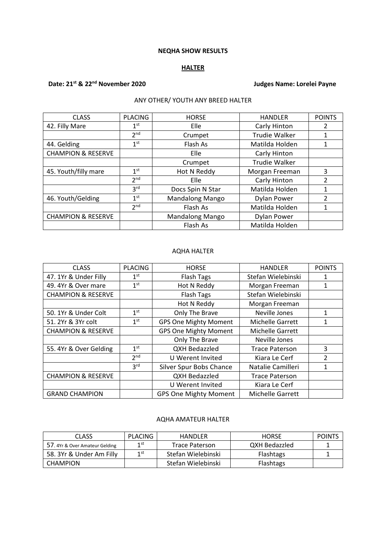#### **NEQHA SHOW RESULTS**

# **HALTER**

# **Date: 21st & 22nd November 2020 Judges Name: Lorelei Payne**

# ANY OTHER/ YOUTH ANY BREED HALTER

| <b>CLASS</b>                  | <b>PLACING</b>  | <b>HORSE</b>           | <b>HANDLER</b>       | <b>POINTS</b>  |
|-------------------------------|-----------------|------------------------|----------------------|----------------|
| 42. Filly Mare                | 1 <sup>st</sup> | Elle                   | Carly Hinton         | 2              |
|                               | 2 <sup>nd</sup> | Crumpet                | <b>Trudie Walker</b> | 1              |
| 44. Gelding                   | 1 <sup>st</sup> | Flash As               | Matilda Holden       | 1              |
| <b>CHAMPION &amp; RESERVE</b> |                 | Elle                   | Carly Hinton         |                |
|                               |                 | Crumpet                | <b>Trudie Walker</b> |                |
| 45. Youth/filly mare          | 1 <sup>st</sup> | Hot N Reddy            | Morgan Freeman       | 3              |
|                               | 2 <sub>nd</sub> | Elle                   | Carly Hinton         | 2              |
|                               | 3 <sup>rd</sup> | Docs Spin N Star       | Matilda Holden       | 1              |
| 46. Youth/Gelding             | 1 <sup>st</sup> | <b>Mandalong Mango</b> | <b>Dylan Power</b>   | $\mathfrak{p}$ |
|                               | 2 <sub>nd</sub> | Flash As               | Matilda Holden       | $\mathbf{1}$   |
| <b>CHAMPION &amp; RESERVE</b> |                 | <b>Mandalong Mango</b> | <b>Dylan Power</b>   |                |
|                               |                 | Flash As               | Matilda Holden       |                |

#### AQHA HALTER

| <b>CLASS</b>                  | <b>PLACING</b>  | <b>HORSE</b>                 | <b>HANDLER</b>          | <b>POINTS</b>  |
|-------------------------------|-----------------|------------------------------|-------------------------|----------------|
| 47. 1Yr & Under Filly         | 1 <sup>st</sup> | <b>Flash Tags</b>            | Stefan Wielebinski      |                |
| 49. 4Yr & Over mare           | 1 <sup>st</sup> | Hot N Reddy                  | Morgan Freeman          | 1              |
| <b>CHAMPION &amp; RESERVE</b> |                 | <b>Flash Tags</b>            | Stefan Wielebinski      |                |
|                               |                 | Hot N Reddy                  | Morgan Freeman          |                |
| 50. 1Yr & Under Colt          | 1 <sup>st</sup> | Only The Brave               | Neville Jones           | 1              |
| 51. 2Yr & 3Yr colt            | 1 <sup>st</sup> | <b>GPS One Mighty Moment</b> | <b>Michelle Garrett</b> | 1              |
| <b>CHAMPION &amp; RESERVE</b> |                 | <b>GPS One Mighty Moment</b> | <b>Michelle Garrett</b> |                |
|                               |                 | Only The Brave               | Neville Jones           |                |
| 55.4Yr & Over Gelding         | 1 <sup>st</sup> | <b>QXH Bedazzled</b>         | <b>Trace Paterson</b>   | 3              |
|                               | 2 <sup>nd</sup> | U Werent Invited             | Kiara Le Cerf           | $\mathfrak{p}$ |
|                               | 3 <sup>rd</sup> | Silver Spur Bobs Chance      | Natalie Camilleri       |                |
| <b>CHAMPION &amp; RESERVE</b> |                 | <b>QXH Bedazzled</b>         | <b>Trace Paterson</b>   |                |
|                               |                 | U Werent Invited             | Kiara Le Cerf           |                |
| <b>GRAND CHAMPION</b>         |                 | <b>GPS One Mighty Moment</b> | Michelle Garrett        |                |

#### AQHA AMATEUR HALTER

| CLASS                          | <b>PLACING</b> | HANDLER               | <b>HORSE</b>     | <b>POINTS</b> |
|--------------------------------|----------------|-----------------------|------------------|---------------|
| 57. 4Yr & Over Amateur Gelding | 1st            | <b>Trace Paterson</b> | QXH Bedazzled    |               |
| 58. 3Yr & Under Am Filly       | 1 st           | Stefan Wielebinski    | <b>Flashtags</b> |               |
| CHAMPION                       |                | Stefan Wielebinski    | Flashtags        |               |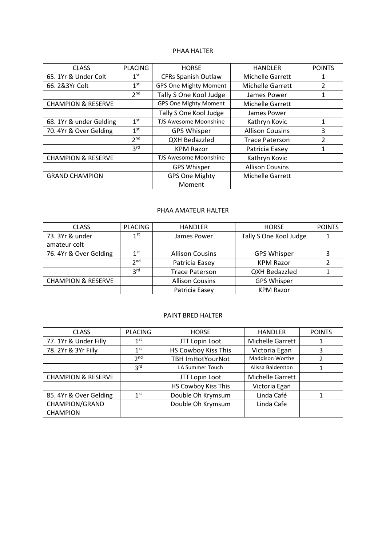#### PHAA HALTER

| <b>CLASS</b>                  | <b>PLACING</b>  | <b>HORSE</b>                 | <b>HANDLER</b>         | <b>POINTS</b>  |
|-------------------------------|-----------------|------------------------------|------------------------|----------------|
| 65. 1Yr & Under Colt          | $1^{\rm st}$    | <b>CFRs Spanish Outlaw</b>   | Michelle Garrett       | 1              |
| 66.2&3Yr Colt                 | 1 <sup>st</sup> | <b>GPS One Mighty Moment</b> | Michelle Garrett       | $\overline{2}$ |
|                               | 2 <sup>nd</sup> | Tally S One Kool Judge       | James Power            | 1              |
| <b>CHAMPION &amp; RESERVE</b> |                 | <b>GPS One Mighty Moment</b> | Michelle Garrett       |                |
|                               |                 | Tally S One Kool Judge       | James Power            |                |
| 68. 1Yr & under Gelding       | 1 <sup>st</sup> | <b>TJS Awesome Moonshine</b> | Kathryn Kovic          | $\mathbf{1}$   |
| 70. 4Yr & Over Gelding        | 1 <sup>st</sup> | <b>GPS Whisper</b>           | <b>Allison Cousins</b> | 3              |
|                               | 2 <sup>nd</sup> | <b>QXH Bedazzled</b>         | <b>Trace Paterson</b>  | 2              |
|                               | 3 <sup>rd</sup> | <b>KPM Razor</b>             | Patricia Easey         | 1              |
| <b>CHAMPION &amp; RESERVE</b> |                 | <b>TJS Awesome Moonshine</b> | Kathryn Kovic          |                |
|                               |                 | <b>GPS Whisper</b>           | <b>Allison Cousins</b> |                |
| <b>GRAND CHAMPION</b>         |                 | <b>GPS One Mighty</b>        | Michelle Garrett       |                |
|                               |                 | Moment                       |                        |                |

# PHAA AMATEUR HALTER

| <b>CLASS</b>                  | <b>PLACING</b>  | <b>HANDLER</b>         | <b>HORSE</b>           | <b>POINTS</b> |
|-------------------------------|-----------------|------------------------|------------------------|---------------|
| 73.3Yr & under                | 1 <sup>st</sup> | James Power            | Tally S One Kool Judge |               |
| amateur colt                  |                 |                        |                        |               |
| 76. 4Yr & Over Gelding        | 1st             | <b>Allison Cousins</b> | <b>GPS Whisper</b>     |               |
|                               | 2 <sub>nd</sub> | Patricia Easey         | <b>KPM Razor</b>       |               |
|                               | <b>Pus</b>      | <b>Trace Paterson</b>  | <b>QXH Bedazzled</b>   |               |
| <b>CHAMPION &amp; RESERVE</b> |                 | <b>Allison Cousins</b> | <b>GPS Whisper</b>     |               |
|                               |                 | Patricia Easey         | <b>KPM Razor</b>       |               |

#### PAINT BRED HALTER

| <b>CLASS</b>                  | <b>PLACING</b>  | <b>HORSE</b>            | <b>HANDLER</b>         | <b>POINTS</b> |
|-------------------------------|-----------------|-------------------------|------------------------|---------------|
| 77. 1Yr & Under Filly         | 1 <sup>st</sup> | JTT Lopin Loot          | Michelle Garrett       |               |
| 78. 2Yr & 3Yr Filly           | 1 <sup>st</sup> | HS Cowboy Kiss This     | Victoria Egan          |               |
|                               | 2 <sub>nd</sub> | <b>TBH ImHotYourNot</b> | <b>Maddison Worthe</b> |               |
|                               | 3 <sup>rd</sup> | <b>LA Summer Touch</b>  | Alissa Balderston      |               |
| <b>CHAMPION &amp; RESERVE</b> |                 | JTT Lopin Loot          | Michelle Garrett       |               |
|                               |                 | HS Cowboy Kiss This     | Victoria Egan          |               |
| 85. 4Yr & Over Gelding        | 1 <sup>st</sup> | Double Oh Krymsum       | Linda Café             |               |
| CHAMPION/GRAND                |                 | Double Oh Krymsum       | Linda Cafe             |               |
| <b>CHAMPION</b>               |                 |                         |                        |               |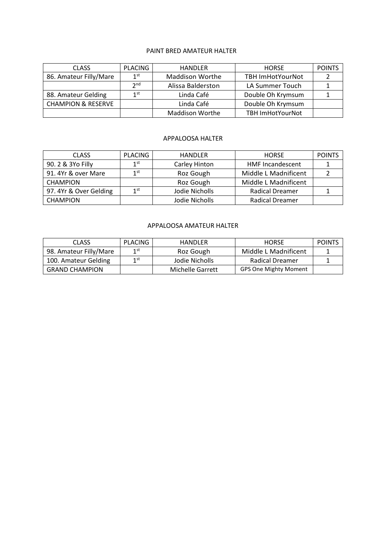#### PAINT BRED AMATEUR HALTER

| <b>CLASS</b>                  | PLACING         | <b>HANDLER</b>         | <b>HORSE</b>            | <b>POINTS</b> |
|-------------------------------|-----------------|------------------------|-------------------------|---------------|
| 86. Amateur Filly/Mare        | 1 <sup>st</sup> | <b>Maddison Worthe</b> | <b>TBH ImHotYourNot</b> |               |
|                               | 2 <sub>nd</sub> | Alissa Balderston      | LA Summer Touch         |               |
| 88. Amateur Gelding           | 1st             | Linda Café             | Double Oh Krymsum       |               |
| <b>CHAMPION &amp; RESERVE</b> |                 | Linda Café             | Double Oh Krymsum       |               |
|                               |                 | <b>Maddison Worthe</b> | <b>TBH ImHotYourNot</b> |               |

#### APPALOOSA HALTER

| <b>CLASS</b>           | <b>PLACING</b> | <b>HANDLER</b> | <b>HORSE</b>            | <b>POINTS</b> |
|------------------------|----------------|----------------|-------------------------|---------------|
| 90. 2 & 3Yo Filly      | 1st            | Carley Hinton  | <b>HMF Incandescent</b> |               |
| 91. 4Yr & over Mare    | 1st            | Roz Gough      | Middle L Madnificent    |               |
| <b>CHAMPION</b>        |                | Roz Gough      | Middle L Madnificent    |               |
| 97. 4Yr & Over Gelding | 1st            | Jodie Nicholls | <b>Radical Dreamer</b>  |               |
| <b>CHAMPION</b>        |                | Jodie Nicholls | <b>Radical Dreamer</b>  |               |

# APPALOOSA AMATEUR HALTER

| <b>CLASS</b>           | PLACING         | <b>HANDLER</b>   | <b>HORSE</b>                 | <b>POINTS</b> |
|------------------------|-----------------|------------------|------------------------------|---------------|
| 98. Amateur Filly/Mare | 1 <sup>st</sup> | Roz Gough        | Middle L Madnificent         |               |
| 100. Amateur Gelding   | 1 st            | Jodie Nicholls   | <b>Radical Dreamer</b>       |               |
| <b>GRAND CHAMPION</b>  |                 | Michelle Garrett | <b>GPS One Mighty Moment</b> |               |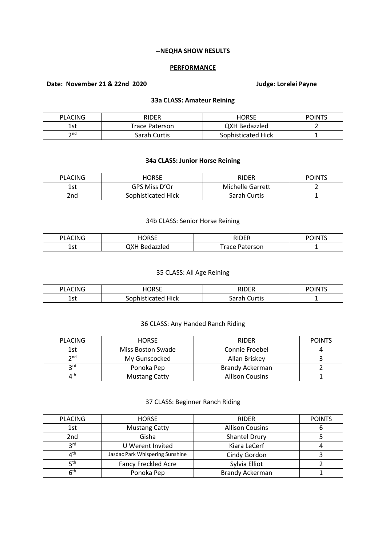#### **--NEQHA SHOW RESULTS**

#### **PERFORMANCE**

# **Date: November 21 & 22nd 2020 Judge: Lorelei Payne**

# **33a CLASS: Amateur Reining**

| <b>PLACING</b>  | <b>RIDER</b>   | <b>HORSE</b>         | <b>POINTS</b> |
|-----------------|----------------|----------------------|---------------|
| 1 c t           | Trace Paterson | <b>QXH Bedazzled</b> |               |
| $\mathsf{h}$ nd | Sarah Curtis   | Sophisticated Hick   |               |

# **34a CLASS: Junior Horse Reining**

| <b>PLACING</b> | HORSE              | <b>RIDER</b>            | <b>POINTS</b> |
|----------------|--------------------|-------------------------|---------------|
| . ct<br>ᅩᇰᄔ    | GPS Miss D'Or      | <b>Michelle Garrett</b> |               |
| 2nd            | Sophisticated Hick | Sarah Curtis            |               |

#### 34b CLASS: Senior Horse Reining

| $\sim$<br>DΙ<br>. . | $- - -$<br>┓<br>. J L<br>____ | $\cdots$                  | $\cdots$<br>,,, |
|---------------------|-------------------------------|---------------------------|-----------------|
| 1. – +<br>تا د ۲۰۰۰ | へい<br>zled<br>^               | erson<br>$\sim$<br>$\sim$ | -               |

#### 35 CLASS: All Age Reining

| <b>SCING</b>     | I∩R⊆F           | DINED                        | <b>POINTS</b> |
|------------------|-----------------|------------------------------|---------------|
| PLA <sub>0</sub> | ハソレ             |                              |               |
| $7 - +$<br>ᅩコし   | Hick<br>.<br>٠ρ | Curtis<br>$\sim$<br>odl di " |               |

# 36 CLASS: Any Handed Ranch Riding

| <b>PLACING</b>  | <b>HORSE</b>         | <b>RIDER</b>           | <b>POINTS</b> |
|-----------------|----------------------|------------------------|---------------|
| 1st             | Miss Boston Swade    | Connie Froebel         |               |
| $\mathsf{p}$ nd | My Gunscocked        | Allan Briskey          |               |
| <b>2rd</b>      | Ponoka Pep           | Brandy Ackerman        |               |
| ⊿th             | <b>Mustang Catty</b> | <b>Allison Cousins</b> |               |

# 37 CLASS: Beginner Ranch Riding

| <b>PLACING</b>  | <b>HORSE</b>                    | <b>RIDER</b>           | <b>POINTS</b> |
|-----------------|---------------------------------|------------------------|---------------|
| 1st             | <b>Mustang Catty</b>            | <b>Allison Cousins</b> |               |
| 2nd             | Gisha                           | Shantel Drury          |               |
| <b>2rd</b>      | U Werent Invited                | Kiara LeCerf           |               |
| ⊿th             | Jasdac Park Whispering Sunshine | Cindy Gordon           |               |
| <b>қth</b>      | <b>Fancy Freckled Acre</b>      | Sylvia Elliot          |               |
| 6 <sup>th</sup> | Ponoka Pep                      | <b>Brandy Ackerman</b> |               |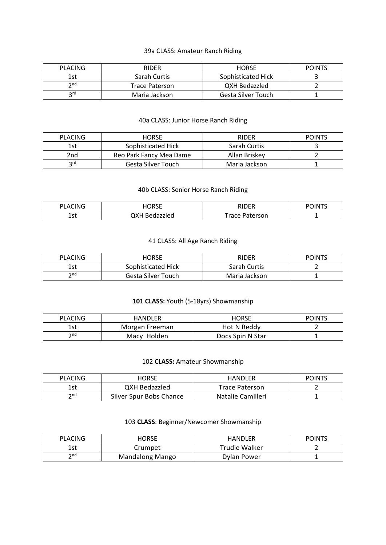# 39a CLASS: Amateur Ranch Riding

| <b>PLACING</b>  | <b>RIDER</b>          | <b>HORSE</b>       | <b>POINTS</b> |
|-----------------|-----------------------|--------------------|---------------|
| 1st             | Sarah Curtis          | Sophisticated Hick |               |
| $\mathsf{p}$ nd | <b>Trace Paterson</b> | QXH Bedazzled      |               |
| rd د            | Maria Jackson         | Gesta Silver Touch |               |

# 40a CLASS: Junior Horse Ranch Riding

| <b>PLACING</b> | <b>HORSE</b>            | <b>RIDER</b>  | <b>POINTS</b> |
|----------------|-------------------------|---------------|---------------|
| 1st            | Sophisticated Hick      | Sarah Curtis  |               |
| 2nd            | Reo Park Fancy Mea Dame | Allan Briskev |               |
| <b>2rd</b>     | Gesta Silver Touch      | Maria Jackson |               |

# 40b CLASS: Senior Horse Ranch Riding

| 'LACING       | 'ORSE | DINED                         | $\sim$ $10T$ |
|---------------|-------|-------------------------------|--------------|
| DI            | ハソレ   |                               | יט           |
| $70 +$<br>ᅩఎເ | :lec  | $Trac$ $F$<br>Paterson<br>acc | -            |

# 41 CLASS: All Age Ranch Riding

| <b>PLACING</b>  | HORSE              | RIDER         | <b>POINTS</b> |
|-----------------|--------------------|---------------|---------------|
| 1st             | Sophisticated Hick | Sarah Curtis  |               |
| 2 <sub>nd</sub> | Gesta Silver Touch | Maria Jackson |               |

# **101 CLASS:** Youth (5-18yrs) Showmanship

| <b>PLACING</b> | HANDLER        | HORSE            | <b>POINTS</b> |
|----------------|----------------|------------------|---------------|
| 1st            | Morgan Freeman | Hot N Reddy      |               |
| ን nd           | Macy Holden    | Docs Spin N Star |               |

# 102 **CLASS:** Amateur Showmanship

| <b>PLACING</b>  | <b>HORSE</b>            | HANDLER           | <b>POINTS</b> |
|-----------------|-------------------------|-------------------|---------------|
| 1st             | QXH Bedazzled           | Trace Paterson    |               |
| $\mathsf{p}$ nd | Silver Spur Bobs Chance | Natalie Camilleri |               |

# 103 **CLASS**: Beginner/Newcomer Showmanship

| <b>PLACING</b>       | <b>HORSE</b>           | <b>HANDLER</b> | <b>POINTS</b> |
|----------------------|------------------------|----------------|---------------|
| 1st                  | Crumpet                | Trudie Walker  |               |
| $\mathsf{\gamma}$ nd | <b>Mandalong Mango</b> | Dylan Power    |               |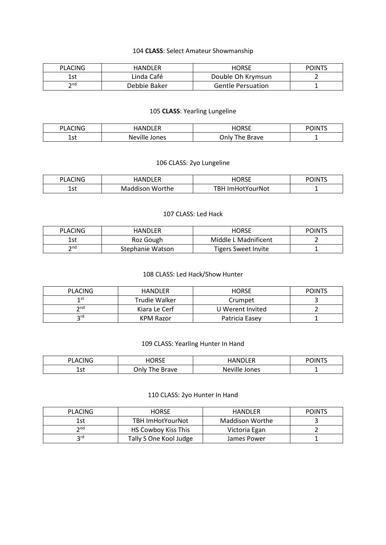# 104 **CLASS**: Select Amateur Showmanship

| <b>PLACING</b>       | <b>HANDLER</b> | HORSE                    | <b>POINTS</b> |
|----------------------|----------------|--------------------------|---------------|
| 1st                  | Linda Café     | Double Oh Krymsun        |               |
| $\mathsf{\gamma}$ nd | Debbie Baker   | <b>Gentle Persuation</b> |               |

# 105 **CLASS**: Yearling Lungeline

| CING<br>DΙ<br>$\mathbf{A}$ | 1015<br>IAN.            | <b>HORSE</b>        | <b>POINTS</b> |
|----------------------------|-------------------------|---------------------|---------------|
| 1.4<br>ᅩఎเ                 | <b>Neville</b><br>Jones | Onlv<br>Brave<br>he | -             |

# 106 CLASS: 2yo Lungeline

| <b>PLACING</b> | <b>IANDLER</b>  | <b>IORSE</b>            | <b>POINTS</b> |
|----------------|-----------------|-------------------------|---------------|
| 1 ct<br>ᅩこし    | Maddison Worthe | <b>TBH ImHotYourNot</b> |               |

### 107 CLASS: Led Hack

| <b>PLACING</b> | HANDLER          | HORSE                | <b>POINTS</b> |
|----------------|------------------|----------------------|---------------|
| l ct<br>ᅩコ     | Roz Gough        | Middle L Madnificent |               |
| ን nd           | Stephanie Watson | Tigers Sweet Invite  |               |

# 108 CLASS: Led Hack/Show Hunter

| <b>PLACING</b>     | HANDLER       | <b>HORSE</b>     | <b>POINTS</b> |
|--------------------|---------------|------------------|---------------|
| 1 st               | Trudie Walker | Crumpet          |               |
| $\mathsf{\sim}$ nd | Kiara Le Cerf | U Werent Invited |               |
| ord.               | KPM Razor     | Patricia Easev   |               |

# 109 CLASS: Yearling Hunter In Hand

| <b>PLACING</b> | HORSE              | <b>HANDLER</b> | <b>POINTS</b> |
|----------------|--------------------|----------------|---------------|
| 1 ~+<br>ᅩコし    | Jnlv.<br>The Brave | Neville Jones  | -             |

# 110 CLASS: 2yo Hunter In Hand

| <b>PLACING</b>                                                                                                    | <b>HORSE</b>           | HANDLER         | <b>POINTS</b> |
|-------------------------------------------------------------------------------------------------------------------|------------------------|-----------------|---------------|
| 1st                                                                                                               | TBH ImHotYourNot       | Maddison Worthe |               |
| $\mathsf{\small \mathsf{\small \mathsf{\small \mathsf{\small \mathsf{\small \mathsf{\small \mathsf{\tiny{}}}}}}}$ | HS Cowboy Kiss This    | Victoria Egan   |               |
| <b>2rd</b>                                                                                                        | Tally S One Kool Judge | James Power     |               |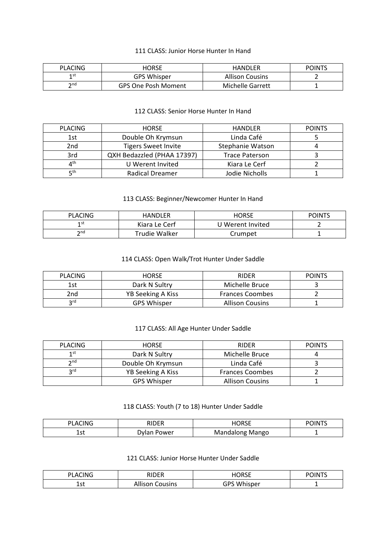#### 111 CLASS: Junior Horse Hunter In Hand

| <b>PLACING</b>       | HORSE                      | <b>HANDLER</b>         | <b>POINTS</b> |
|----------------------|----------------------------|------------------------|---------------|
| 1 st                 | <b>GPS Whisper</b>         | <b>Allison Cousins</b> |               |
| $\mathsf{\gamma}$ nd | <b>GPS One Posh Moment</b> | Michelle Garrett       |               |

## 112 CLASS: Senior Horse Hunter In Hand

| <b>PLACING</b> | <b>HORSE</b>               | <b>HANDLER</b>          | <b>POINTS</b> |
|----------------|----------------------------|-------------------------|---------------|
| 1st            | Double Oh Krymsun          | Linda Café              |               |
| 2nd            | <b>Tigers Sweet Invite</b> | <b>Stephanie Watson</b> |               |
| 3rd            | QXH Bedazzled (PHAA 17397) | <b>Trace Paterson</b>   |               |
| ⊿th            | U Werent Invited           | Kiara Le Cerf           |               |
| Γtμ            | <b>Radical Dreamer</b>     | Jodie Nicholls          |               |

# 113 CLASS: Beginner/Newcomer Hunter In Hand

| PLACING | HANDLER       | HORSE            | <b>POINTS</b> |
|---------|---------------|------------------|---------------|
| 1 st    | Kiara Le Cerf | U Werent Invited |               |
| ን nd    | Trudie Walker | Crumpet          |               |

# 114 CLASS: Open Walk/Trot Hunter Under Saddle

| <b>PLACING</b> | <b>HORSE</b>       | <b>RIDER</b>           | <b>POINTS</b> |
|----------------|--------------------|------------------------|---------------|
| 1st            | Dark N Sultry      | Michelle Bruce         |               |
| 2nd            | YB Seeking A Kiss  | <b>Frances Coombes</b> |               |
| <b>2rd</b>     | <b>GPS Whisper</b> | <b>Allison Cousins</b> |               |

### 117 CLASS: All Age Hunter Under Saddle

| <b>PLACING</b>    | <b>HORSE</b>       | <b>RIDER</b>           | <b>POINTS</b> |
|-------------------|--------------------|------------------------|---------------|
| 1st               | Dark N Sultry      | Michelle Bruce         |               |
| $\mathbf{\infty}$ | Double Oh Krymsun  | Linda Café             |               |
| ord               | YB Seeking A Kiss  | <b>Frances Coombes</b> |               |
|                   | <b>GPS Whisper</b> | <b>Allison Cousins</b> |               |

#### 118 CLASS: Youth (7 to 18) Hunter Under Saddle

| LACING            | <b>RIDER</b> | iorse           | <b>POINTS</b> |
|-------------------|--------------|-----------------|---------------|
| <u>леф</u><br>ᅩఎเ | Dylan Power  | Mandalong Mango |               |

# 121 CLASS: Junior Horse Hunter Under Saddle

| <b>PLACING</b> | חחוח<br>้ ยาง                 | HORSE              | POINTS |
|----------------|-------------------------------|--------------------|--------|
| 1.<br>ᆂᇰᄔ      | .<br>ousins<br><b>Allison</b> | <b>GPS Whisper</b> | -      |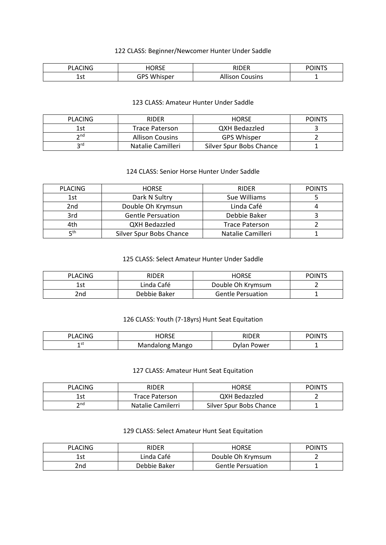# 122 CLASS: Beginner/Newcomer Hunter Under Saddle

| CING<br>DΙ<br>A<br>. . | ⊣∩R <f< th=""><th>DINED</th><th><math>0</math><math>\cap</math> <math>\mathsf{N}</math><br/>וחונ</th></f<> | DINED | $0$ $\cap$ $\mathsf{N}$<br>וחונ |
|------------------------|------------------------------------------------------------------------------------------------------------|-------|---------------------------------|
| ร~<br>ں جے             | GPS<br>AA<br>isper<br>wn                                                                                   | usins | -                               |

### 123 CLASS: Amateur Hunter Under Saddle

| <b>PLACING</b>     | <b>RIDER</b>           | <b>HORSE</b>            | <b>POINTS</b> |
|--------------------|------------------------|-------------------------|---------------|
| 1st                | <b>Trace Paterson</b>  | QXH Bedazzled           |               |
| $\mathsf{\sim}$ nd | <b>Allison Cousins</b> | <b>GPS Whisper</b>      |               |
| <b>2rd</b>         | Natalie Camilleri      | Silver Spur Bobs Chance |               |

# 124 CLASS: Senior Horse Hunter Under Saddle

| <b>PLACING</b>  | <b>HORSE</b>             | <b>RIDER</b>          | <b>POINTS</b> |
|-----------------|--------------------------|-----------------------|---------------|
| 1st             | Dark N Sultry            | Sue Williams          |               |
| 2nd             | Double Oh Krymsun        | Linda Café            |               |
| 3rd             | <b>Gentle Persuation</b> | Debbie Baker          |               |
| 4th             | <b>QXH Bedazzled</b>     | <b>Trace Paterson</b> |               |
| ⊑ <sup>th</sup> | Silver Spur Bobs Chance  | Natalie Camilleri     |               |

# 125 CLASS: Select Amateur Hunter Under Saddle

| <b>PLACING</b> | RIDER        | <b>HORSE</b>             | <b>POINTS</b> |
|----------------|--------------|--------------------------|---------------|
| İst            | Linda Café   | Double Oh Krymsum        |               |
| 2nd            | Debbie Baker | <b>Gentle Persuation</b> |               |

# 126 CLASS: Youth (7-18yrs) Hunt Seat Equitation

| ›LACING    | HORSE           | RIDER            | <b>POINTS</b> |
|------------|-----------------|------------------|---------------|
| 1 S L<br>- | Mandalong Mango | . Power<br>)vlan |               |

#### 127 CLASS: Amateur Hunt Seat Equitation

| PLACING | <b>RIDER</b>          | HORSE                   | <b>POINTS</b> |
|---------|-----------------------|-------------------------|---------------|
| 1st     | <b>Trace Paterson</b> | QXH Bedazzled           |               |
| ን nd    | Natalie Camilerri     | Silver Spur Bobs Chance |               |

# 129 CLASS: Select Amateur Hunt Seat Equitation

| PLACING         | <b>RIDER</b> | <b>HORSE</b>             | <b>POINTS</b> |
|-----------------|--------------|--------------------------|---------------|
| 1st             | Linda Café   | Double Oh Krymsum        |               |
| 2 <sub>nd</sub> | Debbie Baker | <b>Gentle Persuation</b> |               |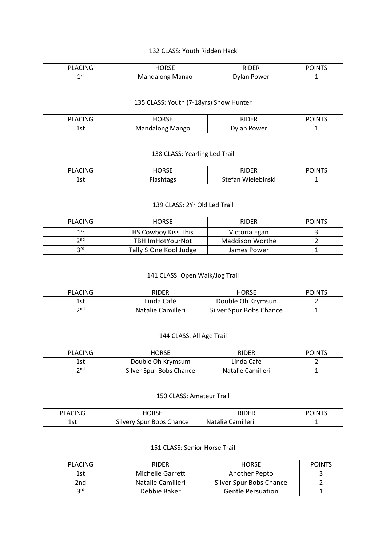#### 132 CLASS: Youth Ridden Hack

| $\sim$<br>Δ<br>INI<br>ا ب | HORSE                        | <b>DIDED</b> | $\cdots$<br>лм |
|---------------------------|------------------------------|--------------|----------------|
| 3 L<br>-                  | Mango<br>מחר<br>גועו<br>14 L | Power<br>w.  | -              |

#### 135 CLASS: Youth (7-18yrs) Show Hunter

| CING<br>ומ<br>А   | nncr<br>.    | DINED<br>. ו∟י     | <b>POINT</b> |
|-------------------|--------------|--------------------|--------------|
| 1 ~+<br>ᅩఎเ<br>__ | Mango<br>onת | Power<br>`\\/lan . | -            |

# 138 CLASS: Yearling Led Trail

| CING<br>ים<br>A<br>. . | I<br>IUKSE | <b>DIDED</b><br>{ { }                          | <b>POINT'</b> |
|------------------------|------------|------------------------------------------------|---------------|
| .<br>⊥ລເ               |            | <sup>∼</sup> tefan ⊾<br><br>Wielebinski<br>JLC | -             |

## 139 CLASS: 2Yr Old Led Trail

| <b>PLACING</b>                                                                                                    | <b>HORSE</b>            | <b>RIDER</b>    | <b>POINTS</b> |
|-------------------------------------------------------------------------------------------------------------------|-------------------------|-----------------|---------------|
| 1 st                                                                                                              | HS Cowboy Kiss This     | Victoria Egan   |               |
| $\mathsf{\small \mathsf{\small \mathsf{\small \mathsf{\small \mathsf{\small \mathsf{\small \mathsf{\tiny{}}}}}}}$ | <b>TBH ImHotYourNot</b> | Maddison Worthe |               |
| ord                                                                                                               | Tally S One Kool Judge  | James Power     |               |

# 141 CLASS: Open Walk/Jog Trail

| <b>PLACING</b>  | <b>RIDER</b>      | <b>HORSE</b>            | <b>POINTS</b> |
|-----------------|-------------------|-------------------------|---------------|
| 1st             | Linda Café        | Double Oh Krymsun       |               |
| ን <sup>nd</sup> | Natalie Camilleri | Silver Spur Bobs Chance |               |

#### 144 CLASS: All Age Trail

| PLACING              | HORSE                   | RIDER             | <b>POINTS</b> |
|----------------------|-------------------------|-------------------|---------------|
| 1st                  | Double Oh Krymsum       | Linda Café        |               |
| $\mathsf{\gamma}$ nd | Silver Spur Bobs Chance | Natalie Camilleri |               |

# 150 CLASS: Amateur Trail

| <b>CING</b><br>DΙ<br>'' Au | iorse                                                 | סאחוכ                              | <b>POINT'</b> |
|----------------------------|-------------------------------------------------------|------------------------------------|---------------|
| 1.4<br>ᅩఎ                  | $\sim$<br>Chance<br><b>Bobs</b><br>spur<br>' ulvervاد | <b>Camilleri</b><br><b>Natalie</b> | -             |

### 151 CLASS: Senior Horse Trail

| <b>PLACING</b> | <b>RIDER</b>      | <b>HORSE</b>             | <b>POINTS</b> |
|----------------|-------------------|--------------------------|---------------|
| 1st            | Michelle Garrett  | Another Pepto            |               |
| 2nd            | Natalie Camilleri | Silver Spur Bobs Chance  |               |
| ord            | Debbie Baker      | <b>Gentle Persuation</b> |               |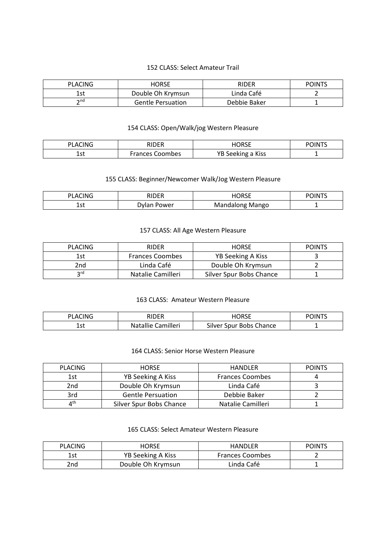# 152 CLASS: Select Amateur Trail

| <b>PLACING</b> | HORSE                    | RIDER        | <b>POINTS</b> |
|----------------|--------------------------|--------------|---------------|
| 1st            | Double Oh Krymsun        | Linda Café   |               |
| つnd            | <b>Gentle Persuation</b> | Debbie Baker |               |

# 154 CLASS: Open/Walk/jog Western Pleasure

| CING<br>AC | RIDER           | <b>IORSE</b>      | <b>OINTS</b> |
|------------|-----------------|-------------------|--------------|
| ร~<br>ᅩఎເ  | Frances Coombes | YB Seeking a Kiss |              |

# 155 CLASS: Beginner/Newcomer Walk/Jog Western Pleasure

| <b>PLACING</b> | RIDER       | HORSE           | <b>POINTS</b> |
|----------------|-------------|-----------------|---------------|
| --<br>ᅩこし      | Dylan Power | Mandalong Mango |               |

#### 157 CLASS: All Age Western Pleasure

| <b>PLACING</b> | <b>RIDER</b>           | <b>HORSE</b>            | <b>POINTS</b> |
|----------------|------------------------|-------------------------|---------------|
| 1st            | <b>Frances Coombes</b> | YB Seeking A Kiss       |               |
| 2nd            | Linda Café             | Double Oh Krymsun       |               |
| ኃrd            | Natalie Camilleri      | Silver Spur Bobs Chance |               |

## 163 CLASS: Amateur Western Pleasure

| PLACING | <b>RIDER</b>    | <b>IORSE</b>     | <b>POINTS</b> |
|---------|-----------------|------------------|---------------|
| 1 et    | Camilleri       | Silver           |               |
| ᆂᇰᄔ     | <b>Natallie</b> | Spur Bobs Chance |               |

# 164 CLASS: Senior Horse Western Pleasure

| <b>PLACING</b>                 | <b>HORSE</b>             | <b>HANDLER</b>         | <b>POINTS</b> |
|--------------------------------|--------------------------|------------------------|---------------|
| 1st                            | YB Seeking A Kiss        | <b>Frances Coombes</b> |               |
| 2nd                            | Double Oh Krymsun        | Linda Café             |               |
| 3rd                            | <b>Gentle Persuation</b> | Debbie Baker           |               |
| $\mathbf{\Lambda}^{\text{th}}$ | Silver Spur Bobs Chance  | Natalie Camilleri      |               |

# 165 CLASS: Select Amateur Western Pleasure

| <b>PLACING</b> | HORSE             | <b>HANDLER</b>         | <b>POINTS</b> |
|----------------|-------------------|------------------------|---------------|
| 1st            | YB Seeking A Kiss | <b>Frances Coombes</b> |               |
| 2nd            | Double Oh Krymsun | Linda Café             |               |